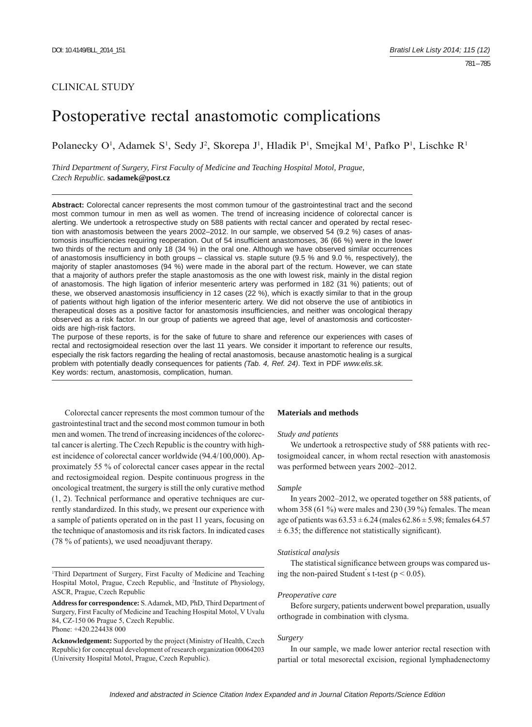## CLINICAL STUDY

# Postoperative rectal anastomotic complications

Polanecky O<sup>1</sup>, Adamek S<sup>1</sup>, Sedy J<sup>2</sup>, Skorepa J<sup>1</sup>, Hladik P<sup>1</sup>, Smejkal M<sup>1</sup>, Pafko P<sup>1</sup>, Lischke R<sup>1</sup>

*Third Department of Surgery, First Faculty of Medicine and Teaching Hospital Motol, Prague, Czech Republic.* **sadamek@post.cz**

**Abstract:** Colorectal cancer represents the most common tumour of the gastrointestinal tract and the second most common tumour in men as well as women. The trend of increasing incidence of colorectal cancer is alerting. We undertook a retrospective study on 588 patients with rectal cancer and operated by rectal resection with anastomosis between the years 2002–2012. In our sample, we observed 54 (9.2 %) cases of anastomosis insufficiencies requiring reoperation. Out of 54 insufficient anastomoses, 36 (66 %) were in the lower two thirds of the rectum and only 18 (34 %) in the oral one. Although we have observed similar occurrences of anastomosis insufficiency in both groups – classical vs. staple suture (9.5 % and 9.0 %, respectively), the majority of stapler anastomoses (94 %) were made in the aboral part of the rectum. However, we can state that a majority of authors prefer the staple anastomosis as the one with lowest risk, mainly in the distal region of anastomosis. The high ligation of inferior mesenteric artery was performed in 182 (31 %) patients; out of these, we observed anastomosis insufficiency in 12 cases (22 %), which is exactly similar to that in the group of patients without high ligation of the inferior mesenteric artery. We did not observe the use of antibiotics in therapeutical doses as a positive factor for anastomosis insufficiencies, and neither was oncological therapy observed as a risk factor. In our group of patients we agreed that age, level of anastomosis and corticosteroids are high-risk factors.

The purpose of these reports, is for the sake of future to share and reference our experiences with cases of rectal and rectosigmoideal resection over the last 11 years. We consider it important to reference our results, especially the risk factors regarding the healing of rectal anastomosis, because anastomotic healing is a surgical problem with potentially deadly consequences for patients *(Tab. 4, Ref. 24)*. Text in PDF *www.elis.sk.* Key words: rectum, anastomosis, complication, human.

Colorectal cancer represents the most common tumour of the gastrointestinal tract and the second most common tumour in both men and women. The trend of increasing incidences of the colorectal cancer is alerting. The Czech Republic is the country with highest incidence of colorectal cancer worldwide (94.4/100,000). Approximately 55 % of colorectal cancer cases appear in the rectal and rectosigmoideal region. Despite continuous progress in the oncological treatment, the surgery is still the only curative method (1, 2). Technical performance and operative techniques are currently standardized. In this study, we present our experience with a sample of patients operated on in the past 11 years, focusing on the technique of anastomosis and its risk factors. In indicated cases (78 % of patients), we used neoadjuvant therapy.

**Acknowledgement:** Supported by the project (Ministry of Health, Czech Republic) for conceptual development of research organization 00064203 (University Hospital Motol, Prague, Czech Republic).

## **Materials and methods**

#### *Study and patients*

We undertook a retrospective study of 588 patients with rectosigmoideal cancer, in whom rectal resection with anastomosis was performed between years 2002–2012.

#### *Sample*

In years 2002–2012, we operated together on 588 patients, of whom 358 (61 %) were males and 230 (39 %) females. The mean age of patients was  $63.53 \pm 6.24$  (males  $62.86 \pm 5.98$ ; females  $64.57$  $\pm$  6.35; the difference not statistically significant).

#### *Statistical analysis*

The statistical significance between groups was compared using the non-paired Student  $\text{s}$  t-test ( $\text{p}$  < 0.05).

#### *Preoperative care*

Before surgery, patients underwent bowel preparation, usually orthograde in combination with clysma.

## *Surgery*

In our sample, we made lower anterior rectal resection with partial or total mesorectal excision, regional lymphadenectomy

<sup>&</sup>lt;sup>1</sup>Third Department of Surgery, First Faculty of Medicine and Teaching Hospital Motol, Prague, Czech Republic, and 2 Institute of Physiology, ASCR, Prague, Czech Republic

**Address for correspondence:** S. Adamek, MD, PhD, Third Department of Surgery, First Faculty of Medicine and Teaching Hospital Motol, V Uvalu 84, CZ-150 06 Prague 5, Czech Republic. Phone: +420.224438 000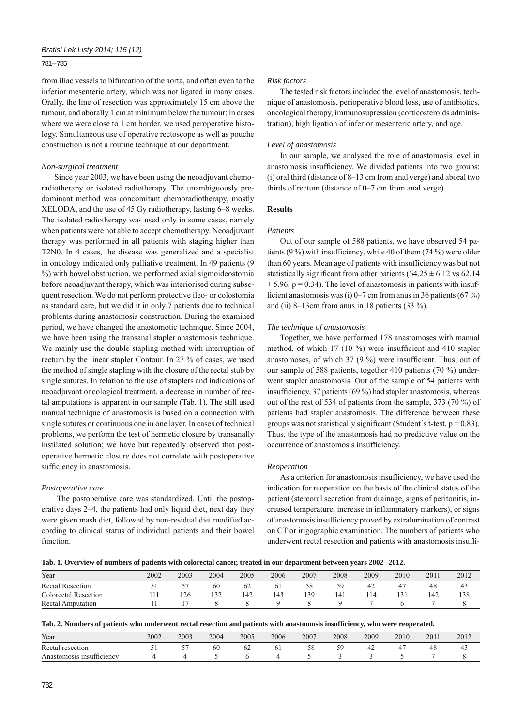## *Bratisl Lek Listy 2014; 115 (12)*

## 781 – 785

from iliac vessels to bifurcation of the aorta, and often even to the inferior mesenteric artery, which was not ligated in many cases. Orally, the line of resection was approximately 15 cm above the tumour, and aborally 1 cm at minimum below the tumour; in cases where we were close to 1 cm border, we used peroperative histology. Simultaneous use of operative rectoscope as well as pouche construction is not a routine technique at our department.

## *Non-surgical treatment*

Since year 2003, we have been using the neoadjuvant chemoradiotherapy or isolated radiotherapy. The unambiguously predominant method was concomitant chemoradiotherapy, mostly XELODA, and the use of 45 Gy radiotherapy, lasting 6–8 weeks. The isolated radiotherapy was used only in some cases, namely when patients were not able to accept chemotherapy. Neoadjuvant therapy was performed in all patients with staging higher than T2N0. In 4 cases, the disease was generalized and a specialist in oncology indicated only palliative treatment. In 49 patients (9 %) with bowel obstruction, we performed axial sigmoideostomia before neoadjuvant therapy, which was interiorised during subsequent resection. We do not perform protective ileo- or colostomia as standard care, but we did it in only 7 patients due to technical problems during anastomosis construction. During the examined period, we have changed the anastomotic technique. Since 2004, we have been using the transanal stapler anastomosis technique. We mainly use the double stapling method with interruption of rectum by the linear stapler Contour. In 27 % of cases, we used the method of single stapling with the closure of the rectal stub by single sutures. In relation to the use of staplers and indications of neoadjuvant oncological treatment, a decrease in number of rectal amputations is apparent in our sample (Tab. 1). The still used manual technique of anastomosis is based on a connection with single sutures or continuous one in one layer. In cases of technical problems, we perform the test of hermetic closure by transanally instilated solution; we have but repeatedly observed that postoperative hermetic closure does not correlate with postoperative sufficiency in anastomosis.

## *Postoperative care*

 The postoperative care was standardized. Until the postoperative days 2–4, the patients had only liquid diet, next day they were given mash diet, followed by non-residual diet modified according to clinical status of individual patients and their bowel function.

## *Risk factors*

The tested risk factors included the level of anastomosis, technique of anastomosis, perioperative blood loss, use of antibiotics, oncological therapy, immunosupression (corticosteroids administration), high ligation of inferior mesenteric artery, and age.

## *Level of anastomosis*

In our sample, we analysed the role of anastomosis level in anastomosis insufficiency. We divided patients into two groups: (i) oral third (distance of 8–13 cm from anal verge) and aboral two thirds of rectum (distance of 0–7 cm from anal verge).

## **Results**

## *Patients*

Out of our sample of 588 patients, we have observed 54 patients (9 %) with insufficiency, while 40 of them  $(74\%)$  were older than 60 years. Mean age of patients with insufficiency was but not statistically significant from other patients  $(64.25 \pm 6.12 \text{ vs } 62.14$  $\pm$  5.96; p = 0.34). The level of anastomosis in patients with insufficient anastomosis was (i) 0–7 cm from anus in 36 patients (67 %) and (ii) 8–13cm from anus in 18 patients (33 %).

## *The technique of anastomosis*

Together, we have performed 178 anastomoses with manual method, of which  $17$  ( $10\%$ ) were insufficient and  $410$  stapler anastomoses, of which  $37$  (9 %) were insufficient. Thus, out of our sample of 588 patients, together 410 patients (70 %) underwent stapler anastomosis. Out of the sample of 54 patients with insufficiency, 37 patients (69 %) had stapler anastomosis, whereas out of the rest of 534 of patients from the sample, 373 (70 %) of patients had stapler anastomosis. The difference between these groups was not statistically significant (Student's t-test,  $p = 0.83$ ). Thus, the type of the anastomosis had no predictive value on the occurrence of anastomosis insufficiency.

## *Reoperation*

As a criterion for anastomosis insufficiency, we have used the indication for reoperation on the basis of the clinical status of the patient (stercoral secretion from drainage, signs of peritonitis, increased temperature, increase in inflammatory markers), or signs of anastomosis insufficiency proved by extralumination of contrast on CT or irigographic examination. The numbers of patients who underwent rectal resection and patients with anastomosis insuffi-

**Tab. 1. Overview of numbers of patients with colorectal cancer, treated in our department between years 2002–2012.**

| Year                     | 2002 | 2003 | 2004 | 2005 | 2006 | 2007 | 2008 | 2009 | 2010 | 2011 | 2012 |
|--------------------------|------|------|------|------|------|------|------|------|------|------|------|
| <b>Rectal Resection</b>  |      |      | 60   | 62   | 01   | 58   | 59   | 42   | 47   | 48   | -43  |
| Colorectal Resection     |      | 126  | 132  | .42  | 143  | 139  | 141  |      | 151  | 142  | 138  |
| <b>Rectal Amputation</b> |      |      |      |      |      |      |      |      |      |      |      |

| Tab. 2. Numbers of patients who underwent rectal resection and patients with anastomosis insufficiency, who were reoperated. |  |  |  |
|------------------------------------------------------------------------------------------------------------------------------|--|--|--|
|------------------------------------------------------------------------------------------------------------------------------|--|--|--|

| Year                      | 2002 | 2003                        | 2004 | 2005 | 2006 | 2007 | 2008 | 2009     | 2010 | 2011 | 2012 |
|---------------------------|------|-----------------------------|------|------|------|------|------|----------|------|------|------|
| Rectal resection          |      | --<br>$\tilde{\phantom{a}}$ | 60   | υz   | v.   | 58   |      | 4,<br>т4 |      |      |      |
| Anastomosis insufficiency |      |                             |      |      |      |      |      |          |      |      |      |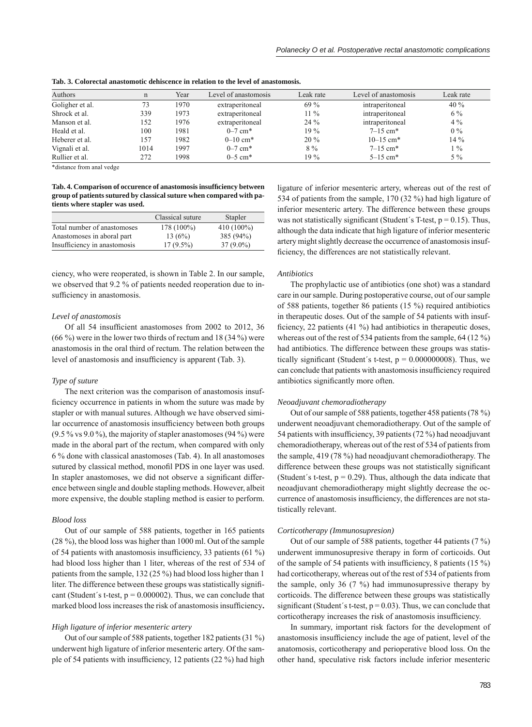| Authors         | n    | Year | Level of anastomosis    | Leak rate | Level of anastomosis     | Leak rate |
|-----------------|------|------|-------------------------|-----------|--------------------------|-----------|
| Goligher et al. | 73   | 1970 | extraperitoneal         | 69%       | intraperitoneal          | 40%       |
| Shrock et al.   | 339  | 1973 | extraperitoneal         | $11\%$    | intraperitoneal          | $6\%$     |
| Manson et al.   | 152  | 1976 | extraperitoneal         | 24 %      | intraperitoneal          | $4\%$     |
| Heald et al.    | 100  | 1981 | $0 - 7$ cm <sup>*</sup> | 19%       | $7-15$ cm <sup>*</sup>   | $0\%$     |
| Heberer et al.  | 157  | 1982 | $0-10$ cm <sup>*</sup>  | 20%       | $10-15$ cm <sup>*</sup>  | 14 %      |
| Vignali et al.  | 1014 | 1997 | $0 - 7$ cm <sup>*</sup> | $8\%$     | $7 - 15$ cm <sup>*</sup> | $1\%$     |
| Rullier et al.  | 272  | 1998 | $0 - 5$ cm <sup>*</sup> | 19%       | $5-15$ cm <sup>*</sup>   | 5 %       |

**Tab. 3. Colorectal anastomotic dehiscence in relation to the level of anastomosis.**

\*distance from anal vedge

## **Tab. 4. Comparison of occurence of anastomosis insuffi ciency between group of patients sutured by classical suture when compared with patients where stapler was used.**

|                              | Classical suture | Stapler      |
|------------------------------|------------------|--------------|
| Total number of anastomoses  | 178 (100%)       | $410(100\%)$ |
| Anastomoses in aboral part   | 13(6%)           | 385 (94%)    |
| Insufficiency in anastomosis | $17(9.5\%)$      | $37(9.0\%)$  |

ciency, who were reoperated, is shown in Table 2. In our sample, we observed that 9.2 % of patients needed reoperation due to insufficiency in anastomosis.

## *Level of anastomosis*

Of all 54 insufficient anastomoses from 2002 to 2012, 36 (66 %) were in the lower two thirds of rectum and 18 (34 %) were anastomosis in the oral third of rectum. The relation between the level of anastomosis and insufficiency is apparent (Tab. 3).

## *Type of suture*

The next criterion was the comparison of anastomosis insufficiency occurrence in patients in whom the suture was made by stapler or with manual sutures. Although we have observed similar occurrence of anastomosis insufficiency between both groups  $(9.5\% \text{ vs } 9.0\%)$ , the majority of stapler anastomoses  $(94\%)$  were made in the aboral part of the rectum, when compared with only 6 % done with classical anastomoses (Tab. 4). In all anastomoses sutured by classical method, monofil PDS in one layer was used. In stapler anastomoses, we did not observe a significant difference between single and double stapling methods. However, albeit more expensive, the double stapling method is easier to perform.

## *Blood loss*

Out of our sample of 588 patients, together in 165 patients (28 %), the blood loss was higher than 1000 ml. Out of the sample of 54 patients with anastomosis insufficiency, 33 patients  $(61 \%)$ had blood loss higher than 1 liter, whereas of the rest of 534 of patients from the sample, 132 (25 %) had blood loss higher than 1 liter. The difference between these groups was statistically significant (Student's t-test,  $p = 0.000002$ ). Thus, we can conclude that marked blood loss increases the risk of anastomosis insufficiency.

## *High ligature of inferior mesenteric artery*

Out of our sample of 588 patients, together 182 patients (31 %) underwent high ligature of inferior mesenteric artery. Of the sample of 54 patients with insufficiency, 12 patients  $(22 \%)$  had high

ligature of inferior mesenteric artery, whereas out of the rest of 534 of patients from the sample, 170 (32 %) had high ligature of inferior mesenteric artery. The difference between these groups was not statistically significant (Student's T-test,  $p = 0.15$ ). Thus, although the data indicate that high ligature of inferior mesenteric artery might slightly decrease the occurrence of anastomosis insufficiency, the differences are not statistically relevant.

## *Antibiotics*

The prophylactic use of antibiotics (one shot) was a standard care in our sample. During postoperative course, out of our sample of 588 patients, together 86 patients (15 %) required antibiotics in therapeutic doses. Out of the sample of 54 patients with insufficiency, 22 patients  $(41 \%)$  had antibiotics in therapeutic doses. whereas out of the rest of 534 patients from the sample, 64 (12 %) had antibiotics. The difference between these groups was statistically significant (Student's t-test,  $p = 0.000000008$ ). Thus, we can conclude that patients with anastomosis insufficiency required antibiotics significantly more often.

## *Neoadjuvant chemoradiotherapy*

Out of our sample of 588 patients, together 458 patients (78 %) underwent neoadjuvant chemoradiotherapy. Out of the sample of 54 patients with insufficiency, 39 patients (72 %) had neoadjuvant chemoradiotherapy, whereas out of the rest of 534 of patients from the sample, 419 (78 %) had neoadjuvant chemoradiotherapy. The difference between these groups was not statistically significant (Student's t-test,  $p = 0.29$ ). Thus, although the data indicate that neoadjuvant chemoradiotherapy might slightly decrease the occurrence of anastomosis insufficiency, the differences are not statistically relevant.

## *Corticotherapy (Immunosupresion)*

Out of our sample of 588 patients, together 44 patients (7 %) underwent immunosupresive therapy in form of corticoids. Out of the sample of 54 patients with insufficiency, 8 patients (15 %) had corticotherapy, whereas out of the rest of 534 of patients from the sample, only 36 (7 %) had immunosupressive therapy by corticoids. The difference between these groups was statistically significant (Student's t-test,  $p = 0.03$ ). Thus, we can conclude that corticotherapy increases the risk of anastomosis insufficiency.

In summary, important risk factors for the development of anastomosis insufficiency include the age of patient, level of the anatomosis, corticotherapy and perioperative blood loss. On the other hand, speculative risk factors include inferior mesenteric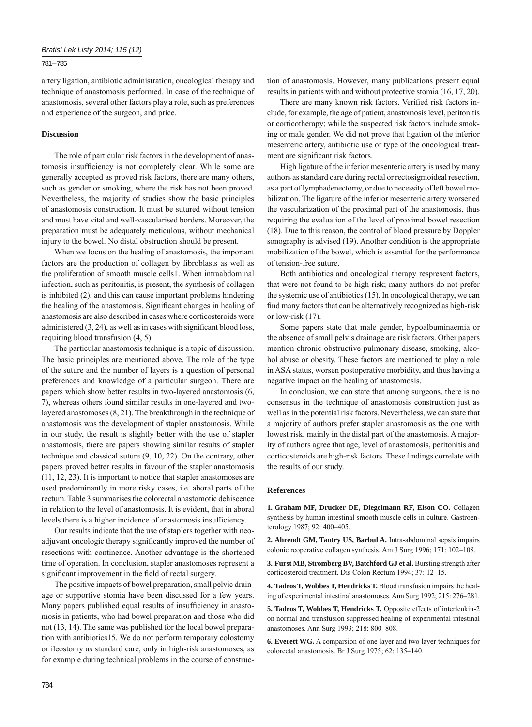## 781 – 785

artery ligation, antibiotic administration, oncological therapy and technique of anastomosis performed. In case of the technique of anastomosis, several other factors play a role, such as preferences and experience of the surgeon, and price.

## **Discussion**

The role of particular risk factors in the development of anastomosis insufficiency is not completely clear. While some are generally accepted as proved risk factors, there are many others, such as gender or smoking, where the risk has not been proved. Nevertheless, the majority of studies show the basic principles of anastomosis construction. It must be sutured without tension and must have vital and well-vascularised borders. Moreover, the preparation must be adequately meticulous, without mechanical injury to the bowel. No distal obstruction should be present.

When we focus on the healing of anastomosis, the important factors are the production of collagen by fibroblasts as well as the proliferation of smooth muscle cells1. When intraabdominal infection, such as peritonitis, is present, the synthesis of collagen is inhibited (2), and this can cause important problems hindering the healing of the anastomosis. Significant changes in healing of anastomosis are also described in cases where corticosteroids were administered  $(3, 24)$ , as well as in cases with significant blood loss, requiring blood transfusion (4, 5).

The particular anastomosis technique is a topic of discussion. The basic principles are mentioned above. The role of the type of the suture and the number of layers is a question of personal preferences and knowledge of a particular surgeon. There are papers which show better results in two-layered anastomosis (6, 7), whereas others found similar results in one-layered and twolayered anastomoses (8, 21). The breakthrough in the technique of anastomosis was the development of stapler anastomosis. While in our study, the result is slightly better with the use of stapler anastomosis, there are papers showing similar results of stapler technique and classical suture (9, 10, 22). On the contrary, other papers proved better results in favour of the stapler anastomosis (11, 12, 23). It is important to notice that stapler anastomoses are used predominantly in more risky cases, i.e. aboral parts of the rectum. Table 3 summarises the colorectal anastomotic dehiscence in relation to the level of anastomosis. It is evident, that in aboral levels there is a higher incidence of anastomosis insufficiency.

Our results indicate that the use of staplers together with neoadjuvant oncologic therapy significantly improved the number of resections with continence. Another advantage is the shortened time of operation. In conclusion, stapler anastomoses represent a significant improvement in the field of rectal surgery.

The positive impacts of bowel preparation, small pelvic drainage or supportive stomia have been discussed for a few years. Many papers published equal results of insufficiency in anastomosis in patients, who had bowel preparation and those who did not (13, 14). The same was published for the local bowel preparation with antibiotics15. We do not perform temporary colostomy or ileostomy as standard care, only in high-risk anastomoses, as for example during technical problems in the course of construction of anastomosis. However, many publications present equal results in patients with and without protective stomia (16, 17, 20).

There are many known risk factors. Verified risk factors include, for example, the age of patient, anastomosis level, peritonitis or corticotherapy; while the suspected risk factors include smoking or male gender. We did not prove that ligation of the inferior mesenteric artery, antibiotic use or type of the oncological treatment are significant risk factors.

High ligature of the inferior mesenteric artery is used by many authors as standard care during rectal or rectosigmoideal resection, as a part of lymphadenectomy, or due to necessity of left bowel mobilization. The ligature of the inferior mesenteric artery worsened the vascularization of the proximal part of the anastomosis, thus requiring the evaluation of the level of proximal bowel resection (18). Due to this reason, the control of blood pressure by Doppler sonography is advised (19). Another condition is the appropriate mobilization of the bowel, which is essential for the performance of tension-free suture.

Both antibiotics and oncological therapy respresent factors, that were not found to be high risk; many authors do not prefer the systemic use of antibiotics (15). In oncological therapy, we can find many factors that can be alternatively recognized as high-risk or low-risk (17).

Some papers state that male gender, hypoalbuminaemia or the absence of small pelvis drainage are risk factors. Other papers mention chronic obstructive pulmonary disease, smoking, alcohol abuse or obesity. These factors are mentioned to play a role in ASA status, worsen postoperative morbidity, and thus having a negative impact on the healing of anastomosis.

In conclusion, we can state that among surgeons, there is no consensus in the technique of anastomosis construction just as well as in the potential risk factors. Nevertheless, we can state that a majority of authors prefer stapler anastomosis as the one with lowest risk, mainly in the distal part of the anastomosis. A majority of authors agree that age, level of anastomosis, peritonitis and corticosteroids are high-risk factors. These findings correlate with the results of our study.

## **References**

**1. Graham MF, Drucker DE, Diegelmann RF, Elson CO.** Collagen synthesis by human intestinal smooth muscle cells in culture. Gastroenterology 1987; 92: 400–405.

**2. Ahrendt GM, Tantry US, Barbul A.** Intra-abdominal sepsis impairs colonic reoperative collagen synthesis. Am J Surg 1996; 171: 102–108.

**3. Furst MB, Stromberg BV, Batchford GJ et al.** Bursting strength after corticosteroid treatment. Dis Colon Rectum 1994; 37: 12–15.

**4. Tadros T, Wobbes T, Hendricks T.** Blood transfusion impairs the healing of experimental intestinal anastomoses. Ann Surg 1992; 215: 276–281.

**5. Tadros T, Wobbes T, Hendricks T.** Opposite effects of interleukin-2 on normal and transfusion suppressed healing of experimental intestinal anastomoses. Ann Surg 1993; 218: 800–808.

**6. Everett WG.** A comparsion of one layer and two layer techniques for colorectal anastomosis. Br J Surg 1975; 62: 135–140.